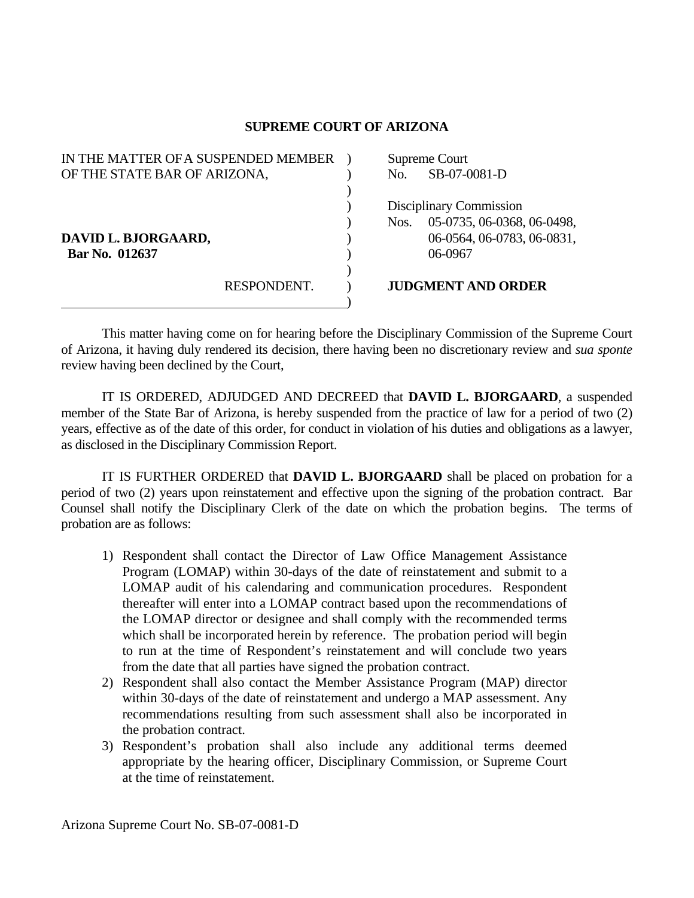## **SUPREME COURT OF ARIZONA**

| IN THE MATTER OF A SUSPENDED MEMBER |             | Supreme Court           |                            |
|-------------------------------------|-------------|-------------------------|----------------------------|
| OF THE STATE BAR OF ARIZONA,        |             | No.                     | SB-07-0081-D               |
|                                     |             |                         |                            |
|                                     |             | Disciplinary Commission |                            |
|                                     |             | Nos.                    | 05-0735, 06-0368, 06-0498, |
| DAVID L. BJORGAARD,                 |             |                         | 06-0564, 06-0783, 06-0831, |
| Bar No. 012637                      |             |                         | 06-0967                    |
|                                     |             |                         |                            |
|                                     | RESPONDENT. |                         | <b>JUDGMENT AND ORDER</b>  |
|                                     |             |                         |                            |

 This matter having come on for hearing before the Disciplinary Commission of the Supreme Court of Arizona, it having duly rendered its decision, there having been no discretionary review and *sua sponte* review having been declined by the Court,

 IT IS ORDERED, ADJUDGED AND DECREED that **DAVID L. BJORGAARD**, a suspended member of the State Bar of Arizona, is hereby suspended from the practice of law for a period of two (2) years, effective as of the date of this order, for conduct in violation of his duties and obligations as a lawyer, as disclosed in the Disciplinary Commission Report.

 IT IS FURTHER ORDERED that **DAVID L. BJORGAARD** shall be placed on probation for a period of two (2) years upon reinstatement and effective upon the signing of the probation contract. Bar Counsel shall notify the Disciplinary Clerk of the date on which the probation begins. The terms of probation are as follows:

- 1) Respondent shall contact the Director of Law Office Management Assistance Program (LOMAP) within 30-days of the date of reinstatement and submit to a LOMAP audit of his calendaring and communication procedures. Respondent thereafter will enter into a LOMAP contract based upon the recommendations of the LOMAP director or designee and shall comply with the recommended terms which shall be incorporated herein by reference. The probation period will begin to run at the time of Respondent's reinstatement and will conclude two years from the date that all parties have signed the probation contract.
- 2) Respondent shall also contact the Member Assistance Program (MAP) director within 30-days of the date of reinstatement and undergo a MAP assessment. Any recommendations resulting from such assessment shall also be incorporated in the probation contract.
- 3) Respondent's probation shall also include any additional terms deemed appropriate by the hearing officer, Disciplinary Commission, or Supreme Court at the time of reinstatement.

Arizona Supreme Court No. SB-07-0081-D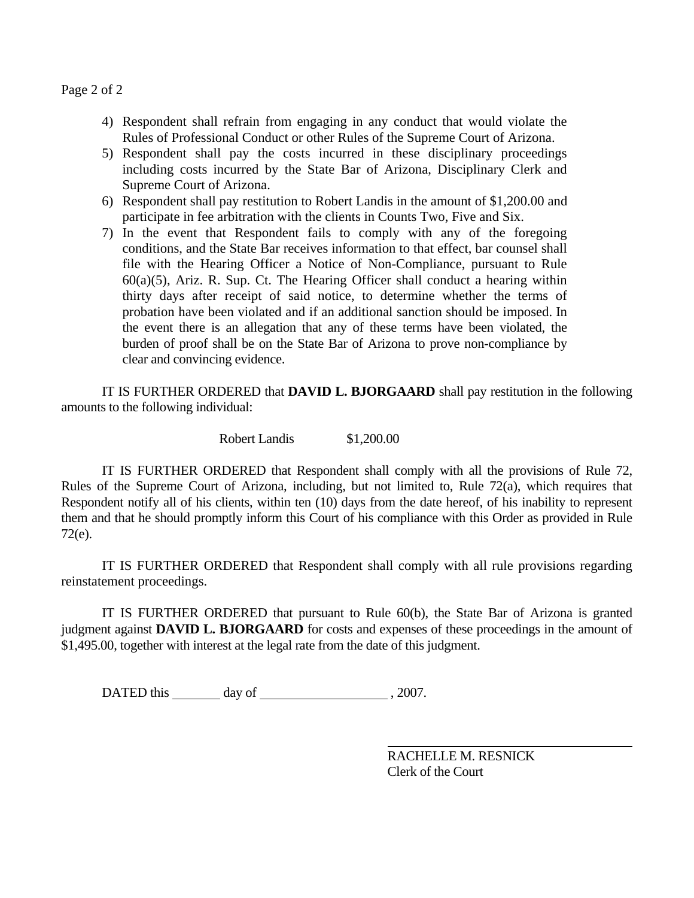Page 2 of 2

- 4) Respondent shall refrain from engaging in any conduct that would violate the Rules of Professional Conduct or other Rules of the Supreme Court of Arizona.
- 5) Respondent shall pay the costs incurred in these disciplinary proceedings including costs incurred by the State Bar of Arizona, Disciplinary Clerk and Supreme Court of Arizona.
- 6) Respondent shall pay restitution to Robert Landis in the amount of \$1,200.00 and participate in fee arbitration with the clients in Counts Two, Five and Six.
- 7) In the event that Respondent fails to comply with any of the foregoing conditions, and the State Bar receives information to that effect, bar counsel shall file with the Hearing Officer a Notice of Non-Compliance, pursuant to Rule 60(a)(5), Ariz. R. Sup. Ct. The Hearing Officer shall conduct a hearing within thirty days after receipt of said notice, to determine whether the terms of probation have been violated and if an additional sanction should be imposed. In the event there is an allegation that any of these terms have been violated, the burden of proof shall be on the State Bar of Arizona to prove non-compliance by clear and convincing evidence.

 IT IS FURTHER ORDERED that **DAVID L. BJORGAARD** shall pay restitution in the following amounts to the following individual:

Robert Landis \$1,200.00

 IT IS FURTHER ORDERED that Respondent shall comply with all the provisions of Rule 72, Rules of the Supreme Court of Arizona, including, but not limited to, Rule 72(a), which requires that Respondent notify all of his clients, within ten (10) days from the date hereof, of his inability to represent them and that he should promptly inform this Court of his compliance with this Order as provided in Rule 72(e).

 IT IS FURTHER ORDERED that Respondent shall comply with all rule provisions regarding reinstatement proceedings.

 IT IS FURTHER ORDERED that pursuant to Rule 60(b), the State Bar of Arizona is granted judgment against **DAVID L. BJORGAARD** for costs and expenses of these proceedings in the amount of \$1,495.00, together with interest at the legal rate from the date of this judgment.

DATED this day of , 2007.

 RACHELLE M. RESNICK Clerk of the Court